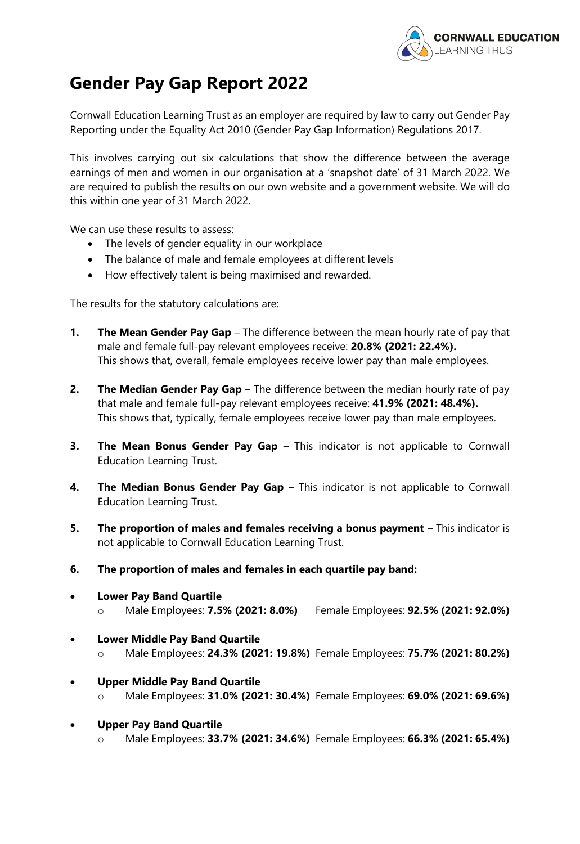

## **Gender Pay Gap Report 2022**

Cornwall Education Learning Trust as an employer are required by law to carry out Gender Pay Reporting under the Equality Act 2010 (Gender Pay Gap Information) Regulations 2017.

This involves carrying out six calculations that show the difference between the average earnings of men and women in our organisation at a 'snapshot date' of 31 March 2022. We are required to publish the results on our own website and a government website. We will do this within one year of 31 March 2022.

We can use these results to assess:

- The levels of gender equality in our workplace
- The balance of male and female employees at different levels
- How effectively talent is being maximised and rewarded.

The results for the statutory calculations are:

- **1.** The Mean Gender Pay Gap The difference between the mean hourly rate of pay that male and female full-pay relevant employees receive: **20.8% (2021: 22.4%).**  This shows that, overall, female employees receive lower pay than male employees.
- **2. The Median Gender Pay Gap**  The difference between the median hourly rate of pay that male and female full-pay relevant employees receive: **41.9% (2021: 48.4%).**  This shows that, typically, female employees receive lower pay than male employees.
- **3. The Mean Bonus Gender Pay Gap** This indicator is not applicable to Cornwall Education Learning Trust.
- **4. The Median Bonus Gender Pay Gap** This indicator is not applicable to Cornwall Education Learning Trust.
- **5.** The proportion of males and females receiving a bonus payment This indicator is not applicable to Cornwall Education Learning Trust.
- **6. The proportion of males and females in each quartile pay band:**
- **Lower Pay Band Quartile**  o Male Employees: **7.5% (2021: 8.0%)** Female Employees: **92.5% (2021: 92.0%)**
- **Lower Middle Pay Band Quartile**  o Male Employees: **24.3% (2021: 19.8%)** Female Employees: **75.7% (2021: 80.2%)**
- **Upper Middle Pay Band Quartile** 
	- o Male Employees: **31.0% (2021: 30.4%)** Female Employees: **69.0% (2021: 69.6%)**
- **Upper Pay Band Quartile** 
	- o Male Employees: **33.7% (2021: 34.6%)** Female Employees: **66.3% (2021: 65.4%)**